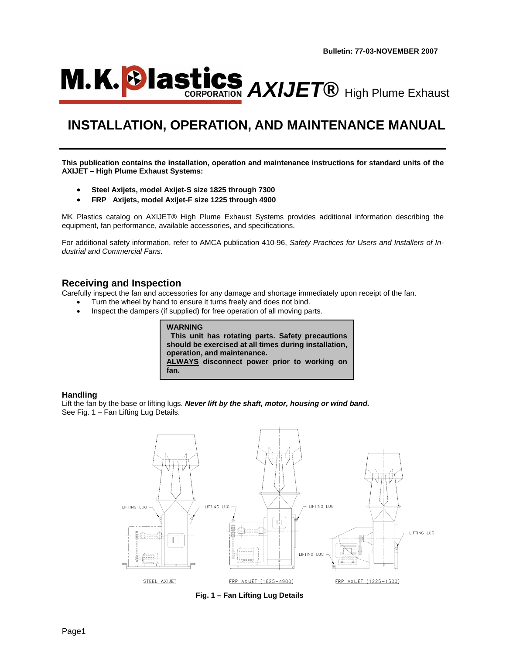

# **INSTALLATION, OPERATION, AND MAINTENANCE MANUAL**

**This publication contains the installation, operation and maintenance instructions for standard units of the AXIJET – High Plume Exhaust Systems:** 

- **Steel Axijets, model Axijet-S size 1825 through 7300**
- **FRP Axijets, model Axijet-F size 1225 through 4900**

MK Plastics catalog on AXIJET® High Plume Exhaust Systems provides additional information describing the equipment, fan performance, available accessories, and specifications.

For additional safety information, refer to AMCA publication 410-96, *Safety Practices for Users and Installers of Industrial and Commercial Fans*.

### **Receiving and Inspection**

Carefully inspect the fan and accessories for any damage and shortage immediately upon receipt of the fan.

- Turn the wheel by hand to ensure it turns freely and does not bind.
- Inspect the dampers (if supplied) for free operation of all moving parts.

| WARNING |                                                       |  |
|---------|-------------------------------------------------------|--|
|         | This unit has rotating parts. Safety precautions      |  |
|         | should be exercised at all times during installation, |  |
|         | operation, and maintenance.                           |  |
|         | ALWAYS disconnect power prior to working on           |  |
| fan.    |                                                       |  |

#### **Handling**

Lift the fan by the base or lifting lugs. *Never lift by the shaft, motor, housing or wind band.*  See Fig. 1 – Fan Lifting Lug Details.



**Fig. 1 – Fan Lifting Lug Details**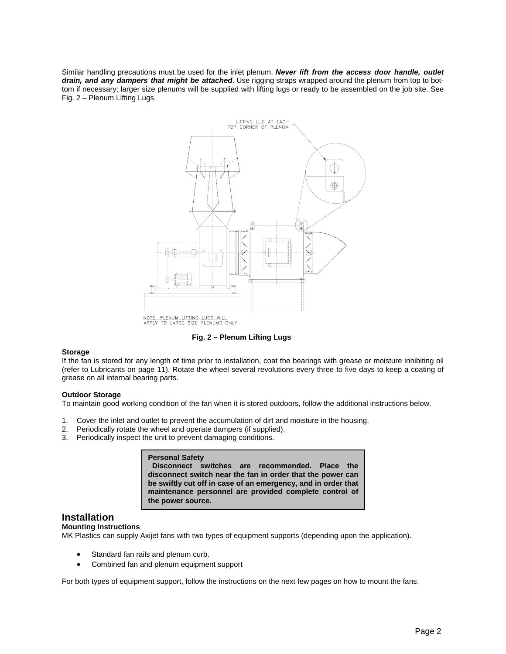Similar handling precautions must be used for the inlet plenum. *Never lift from the access door handle, outlet drain, and any dampers that might be attached*. Use rigging straps wrapped around the plenum from top to bottom if necessary; larger size plenums will be supplied with lifting lugs or ready to be assembled on the job site. See Fig. 2 – Plenum Lifting Lugs.



**Fig. 2 – Plenum Lifting Lugs**

#### **Storage**

If the fan is stored for any length of time prior to installation, coat the bearings with grease or moisture inhibiting oil (refer to Lubricants on page 11). Rotate the wheel several revolutions every three to five days to keep a coating of grease on all internal bearing parts.

#### **Outdoor Storage**

To maintain good working condition of the fan when it is stored outdoors, follow the additional instructions below.

- 1. Cover the inlet and outlet to prevent the accumulation of dirt and moisture in the housing.
- 2. Periodically rotate the wheel and operate dampers (if supplied).
- 3. Periodically inspect the unit to prevent damaging conditions.

#### **Personal Safety Disconnect switches are recommended. Place the disconnect switch near the fan in order that the power can be swiftly cut off in case of an emergency, and in order that maintenance personnel are provided complete control of the power source.**

### **Installation**

#### **Mounting Instructions**

MK Plastics can supply Axijet fans with two types of equipment supports (depending upon the application).

- Standard fan rails and plenum curb.
- Combined fan and plenum equipment support

For both types of equipment support, follow the instructions on the next few pages on how to mount the fans.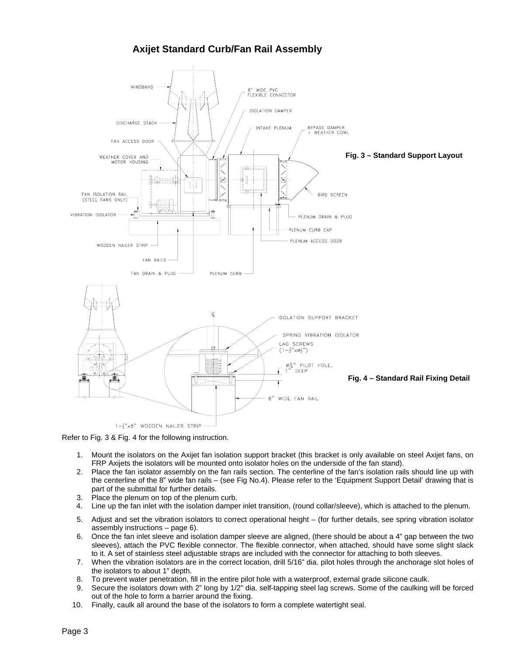# **Axijet Standard Curb/Fan Rail Assembly**



Refer to Fig. 3 & Fig. 4 for the following instruction.

- 1. Mount the isolators on the Axijet fan isolation support bracket (this bracket is only available on steel Axijet fans, on FRP Axijets the isolators will be mounted onto isolator holes on the underside of the fan stand).
- 2. Place the fan isolator assembly on the fan rails section. The centerline of the fan's isolation rails should line up with the centerline of the 8" wide fan rails – (see Fig No.4). Please refer to the 'Equipment Support Detail' drawing that is part of the submittal for further details.
- 3. Place the plenum on top of the plenum curb.
- 4. Line up the fan inlet with the isolation damper inlet transition, (round collar/sleeve), which is attached to the plenum.
- 5. Adjust and set the vibration isolators to correct operational height (for further details, see spring vibration isolator assembly instructions – page 6).
- 6. Once the fan inlet sleeve and isolation damper sleeve are aligned, (there should be about a 4" gap between the two sleeves), attach the PVC flexible connector. The flexible connector, when attached, should have some slight slack to it. A set of stainless steel adjustable straps are included with the connector for attaching to both sleeves.
- 7. When the vibration isolators are in the correct location, drill 5/16" dia. pilot holes through the anchorage slot holes of the isolators to about 1" depth.
- 8. To prevent water penetration, fill in the entire pilot hole with a waterproof, external grade silicone caulk.
- 9. Secure the isolators down with 2" long by 1/2" dia. self-tapping steel lag screws. Some of the caulking will be forced out of the hole to form a barrier around the fixing.
- 10. Finally, caulk all around the base of the isolators to form a complete watertight seal.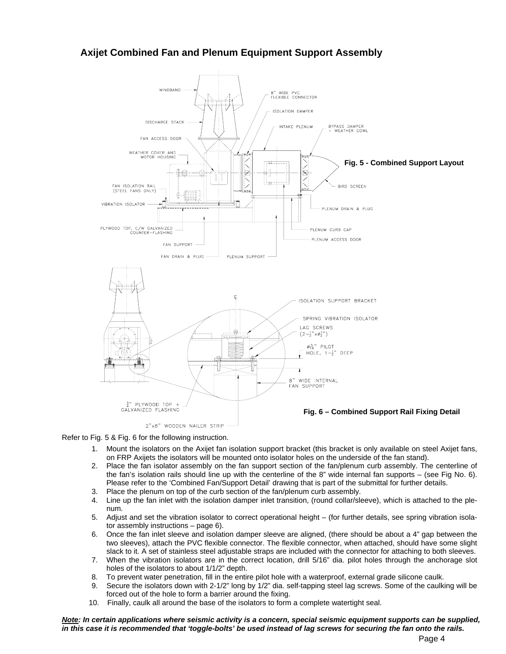# **Axijet Combined Fan and Plenum Equipment Support Assembly**



Refer to Fig. 5 & Fig. 6 for the following instruction.

- 1. Mount the isolators on the Axijet fan isolation support bracket (this bracket is only available on steel Axijet fans, on FRP Axijets the isolators will be mounted onto isolator holes on the underside of the fan stand).
- 2. Place the fan isolator assembly on the fan support section of the fan/plenum curb assembly. The centerline of the fan's isolation rails should line up with the centerline of the 8" wide internal fan supports – (see Fig No. 6). Please refer to the 'Combined Fan/Support Detail' drawing that is part of the submittal for further details.
- 3. Place the plenum on top of the curb section of the fan/plenum curb assembly.
- 4. Line up the fan inlet with the isolation damper inlet transition, (round collar/sleeve), which is attached to the plenum.
- 5. Adjust and set the vibration isolator to correct operational height (for further details, see spring vibration isolator assembly instructions – page 6).
- 6. Once the fan inlet sleeve and isolation damper sleeve are aligned, (there should be about a 4" gap between the two sleeves), attach the PVC flexible connector. The flexible connector, when attached, should have some slight slack to it. A set of stainless steel adjustable straps are included with the connector for attaching to both sleeves.
- 7. When the vibration isolators are in the correct location, drill 5/16" dia. pilot holes through the anchorage slot holes of the isolators to about 1/1/2" depth.
- 8. To prevent water penetration, fill in the entire pilot hole with a waterproof, external grade silicone caulk.
- 9. Secure the isolators down with 2-1/2" long by 1/2" dia. self-tapping steel lag screws. Some of the caulking will be forced out of the hole to form a barrier around the fixing.
- 10. Finally, caulk all around the base of the isolators to form a complete watertight seal.

*Note: In certain applications where seismic activity is a concern, special seismic equipment supports can be supplied, in this case it is recommended that 'toggle-bolts' be used instead of lag screws for securing the fan onto the rails.*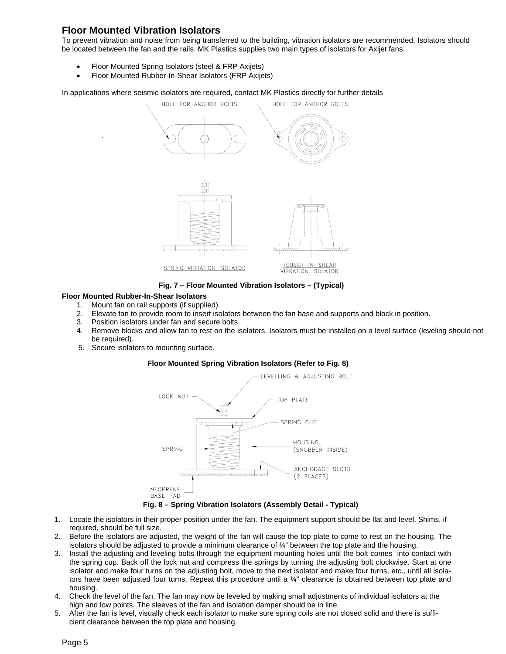# **Floor Mounted Vibration Isolators**

.

To prevent vibration and noise from being transferred to the building, vibration isolators are recommended. Isolators should be located between the fan and the rails. MK Plastics supplies two main types of isolators for Axijet fans:

- Floor Mounted Spring Isolators (steel & FRP Axijets)
- Floor Mounted Rubber-In-Shear Isolators (FRP Axijets)

In applications where seismic isolators are required, contact MK Plastics directly for further details



**Fig. 7 – Floor Mounted Vibration Isolators – (Typical)**

#### **Floor Mounted Rubber-In-Shear Isolators**

- 1. Mount fan on rail supports (if supplied).
- 2. Elevate fan to provide room to insert isolators between the fan base and supports and block in position.
- 3. Position isolators under fan and secure bolts.
- 4. Remove blocks and allow fan to rest on the isolators. Isolators must be installed on a level surface (leveling should not be required).
- 5. Secure isolators to mounting surface.

#### **Floor Mounted Spring Vibration Isolators (Refer to Fig. 8)**



- 1. Locate the isolators in their proper position under the fan. The equipment support should be flat and level. Shims, if
- required, should be full size.
- 2. Before the isolators are adjusted, the weight of the fan will cause the top plate to come to rest on the housing. The isolators should be adjusted to provide a minimum clearance of ¼" between the top plate and the housing.
- 3. Install the adjusting and leveling bolts through the equipment mounting holes until the bolt comes into contact with the spring cup. Back off the lock nut and compress the springs by turning the adjusting bolt clockwise. Start at one isolator and make four turns on the adjusting bolt, move to the next isolator and make four turns, etc., until all isolators have been adjusted four turns. Repeat this procedure until a ¼" clearance is obtained between top plate and housing.
- 4. Check the level of the fan. The fan may now be leveled by making small adjustments of individual isolators at the high and low points. The sleeves of the fan and isolation damper should be in line.
- 5. After the fan is level, visually check each isolator to make sure spring coils are not closed solid and there is sufficient clearance between the top plate and housing.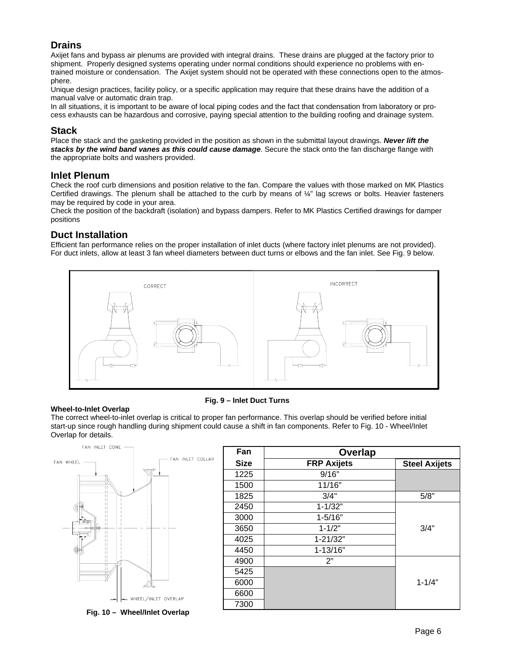# **Drains**

Axijet fans and bypass air plenums are provided with integral drains. These drains are plugged at the factory prior to shipment. Properly designed systems operating under normal conditions should experience no problems with entrained moisture or condensation. The Axijet system should not be operated with these connections open to the atmosphere.

Unique design practices, facility policy, or a specific application may require that these drains have the addition of a manual valve or automatic drain trap.

In all situations, it is important to be aware of local piping codes and the fact that condensation from laboratory or process exhausts can be hazardous and corrosive, paying special attention to the building roofing and drainage system.

### **Stack**

Place the stack and the gasketing provided in the position as shown in the submittal layout drawings. *Never lift the stacks by the wind band vanes as this could cause damage*. Secure the stack onto the fan discharge flange with the appropriate bolts and washers provided.

### **Inlet Plenum**

Check the roof curb dimensions and position relative to the fan. Compare the values with those marked on MK Plastics Certified drawings. The plenum shall be attached to the curb by means of ¼" lag screws or bolts. Heavier fasteners may be required by code in your area.

Check the position of the backdraft (isolation) and bypass dampers. Refer to MK Plastics Certified drawings for damper positions

### **Duct Installation**

Efficient fan performance relies on the proper installation of inlet ducts (where factory inlet plenums are not provided). For duct inlets, allow at least 3 fan wheel diameters between duct turns or elbows and the fan inlet. See Fig. 9 below.



#### **Wheel-to-Inlet Overlap**

#### **Fig. 9 – Inlet Duct Turns**

The correct wheel-to-inlet overlap is critical to proper fan performance. This overlap should be verified before initial start-up since rough handling during shipment could cause a shift in fan components. Refer to Fig. 10 - Wheel/Inlet Overlap for details.



Fan | Overlap Size **FRP Axijets** Steel Axijets 1225 9/16" 1500 11/16" 1825 3/4" 5/8" 2450 1-1/32" 3000 1-5/16" 3650 1-1/2" 3/4" 4025 1-21/32" 4450 1-13/16" 4900 2" 5425 6000 **1-1/4"** 1-1/4" 6600 7300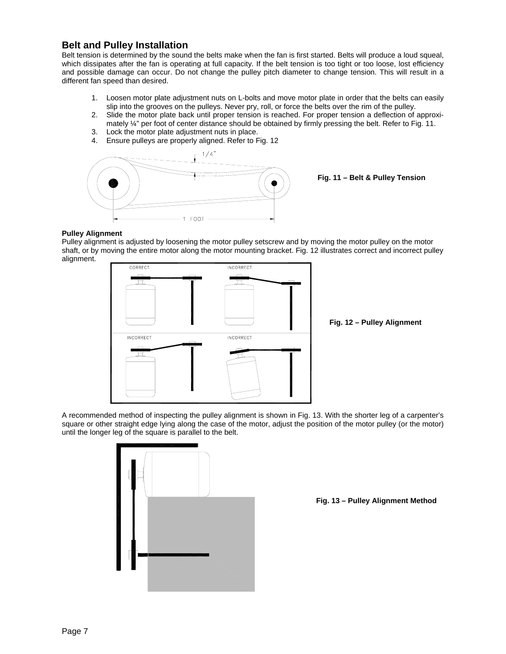### **Belt and Pulley Installation**

Belt tension is determined by the sound the belts make when the fan is first started. Belts will produce a loud squeal, which dissipates after the fan is operating at full capacity. If the belt tension is too tight or too loose, lost efficiency and possible damage can occur. Do not change the pulley pitch diameter to change tension. This will result in a different fan speed than desired.

- 1. Loosen motor plate adjustment nuts on L-bolts and move motor plate in order that the belts can easily slip into the grooves on the pulleys. Never pry, roll, or force the belts over the rim of the pulley.
- 2. Slide the motor plate back until proper tension is reached. For proper tension a deflection of approximately  $\frac{1}{4}$ " per foot of center distance should be obtained by firmly pressing the belt. Refer to Fig. 11.
- 3. Lock the motor plate adjustment nuts in place.
- 4. Ensure pulleys are properly aligned. Refer to Fig. 12



**Fig. 11 – Belt & Pulley Tension** 

#### **Pulley Alignment**

Pulley alignment is adjusted by loosening the motor pulley setscrew and by moving the motor pulley on the motor shaft, or by moving the entire motor along the motor mounting bracket. Fig. 12 illustrates correct and incorrect pulley alignment.



**Fig. 12 – Pulley Alignment**

A recommended method of inspecting the pulley alignment is shown in Fig. 13. With the shorter leg of a carpenter's square or other straight edge lying along the case of the motor, adjust the position of the motor pulley (or the motor) until the longer leg of the square is parallel to the belt.



**Fig. 13 – Pulley Alignment Method**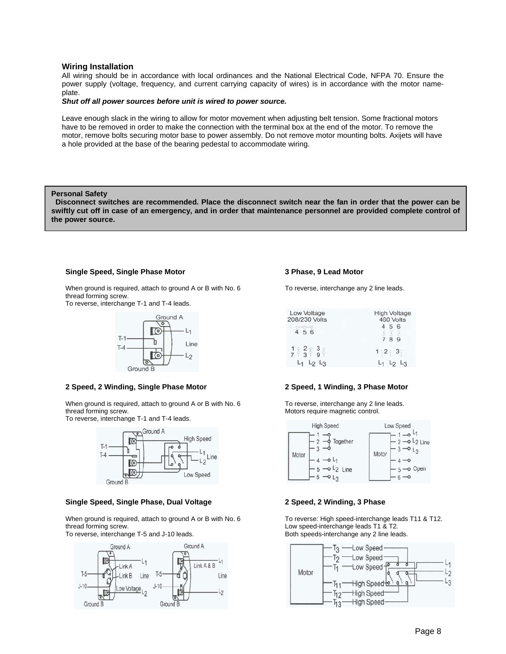#### **Wiring Installation**

All wiring should be in accordance with local ordinances and the National Electrical Code, NFPA 70. Ensure the power supply (voltage, frequency, and current carrying capacity of wires) is in accordance with the motor nameplate.

#### *Shut off all power sources before unit is wired to power source.*

Leave enough slack in the wiring to allow for motor movement when adjusting belt tension. Some fractional motors have to be removed in order to make the connection with the terminal box at the end of the motor. To remove the motor, remove bolts securing motor base to power assembly. Do not remove motor mounting bolts. Axijets will have a hole provided at the base of the bearing pedestal to accommodate wiring.

#### **Personal Safety**

 **Disconnect switches are recommended. Place the disconnect switch near the fan in order that the power can be swiftly cut off in case of an emergency, and in order that maintenance personnel are provided complete control of the power source.**

#### **Single Speed, Single Phase Motor**

When ground is required, attach to ground A or B with No. 6 thread forming screw.

To reverse, interchange T-1 and T-4 leads.



#### **2 Speed, 2 Winding, Single Phase Motor**

When ground is required, attach to ground A or B with No. 6 thread forming screw.

To reverse, interchange T-1 and T-4 leads.



#### **Single Speed, Single Phase, Dual Voltage**

When ground is required, attach to ground A or B with No. 6 thread forming screw.

To reverse, interchange T-5 and J-10 leads.



#### **3 Phase, 9 Lead Motor**

To reverse, interchange any 2 line leads.

| Low Voltage<br>208/230 Volts                            | <b>High Voltage</b><br>460 Volts |  |  |  |
|---------------------------------------------------------|----------------------------------|--|--|--|
| 4 5 6                                                   | 56<br>789                        |  |  |  |
| $\frac{1}{7}$ $\frac{2}{3}$ $\frac{3}{9}$ $\frac{3}{1}$ | $1 - 2 - 3$                      |  |  |  |
| $L_2$ $L_3$                                             |                                  |  |  |  |

#### **2 Speed, 1 Winding, 3 Phase Motor**

To reverse, interchange any 2 line leads. Motors require magnetic control.



#### **2 Speed, 2 Winding, 3 Phase**

To reverse: High speed-interchange leads T11 & T12. Low speed-interchange leads T1 & T2. Both speeds-interchange any 2 line leads.

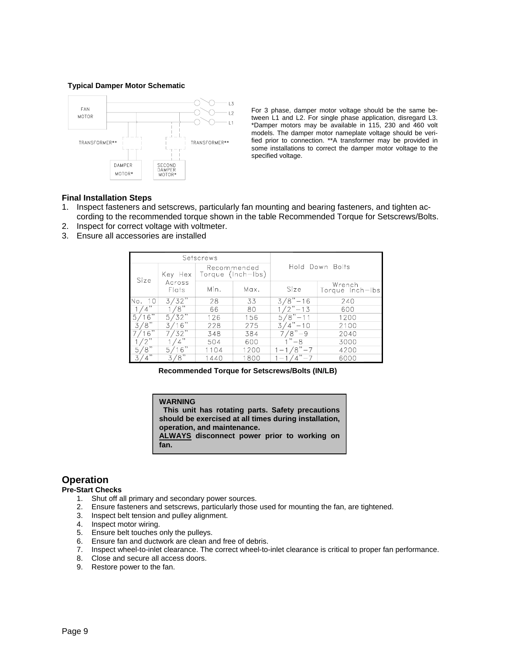#### **Typical Damper Motor Schematic**



For 3 phase, damper motor voltage should be the same between L1 and L2. For single phase application, disregard L3. \*Damper motors may be available in 115, 230 and 460 volt models. The damper motor nameplate voltage should be verified prior to connection. \*\*A transformer may be provided in some installations to correct the damper motor voltage to the specified voltage.

#### **Final Installation Steps**

- 1. Inspect fasteners and setscrews, particularly fan mounting and bearing fasteners, and tighten according to the recommended torque shown in the table Recommended Torque for Setscrews/Bolts.
- 2. Inspect for correct voltage with voltmeter.
- 3. Ensure all accessories are installed

| Setscrews       |                 |                                  |      |                   |                           |  |
|-----------------|-----------------|----------------------------------|------|-------------------|---------------------------|--|
| Size            | Key Hex         | Recommended<br>Torque (Inch-Ibs) |      | Hold Down Bolts   |                           |  |
|                 | Across<br>Flats | Min.                             | Max. | Size              | Wrench<br>Torque Inch-Ibs |  |
| No.<br>10       | 3/32            | 28                               | 33   | $3/8" - 16$       | 240                       |  |
| ,,              | 8"              | 66                               | 80   | "?<br>$-13$       | 600                       |  |
| 6"<br>5         | '32"<br>5,      | 126                              | 156  | ΄8"<br>5<br>$-11$ | 1200                      |  |
| $\sqrt{8}$      | 16              | 228                              | 275  | 3<br>$-10$        | 2100                      |  |
| .6"             | 32"             | 348                              | 384  | $\sqrt{8}$<br>۰q  | 2040                      |  |
| $\sqrt{2}$      |                 | 504                              | 600  | , ,<br>$-8$       | 3000                      |  |
| $\sqrt{8}$<br>5 | 6"<br>5         | 1104                             | 1200 | $8\sqrt{7-7}$     | 4200                      |  |
| ,,              | $\sqrt{8}$      | 1440                             | 1800 |                   | 6000                      |  |

**Recommended Torque for Setscrews/Bolts (IN/LB)**

# **WARNING**

 **This unit has rotating parts. Safety precautions should be exercised at all times during installation, operation, and maintenance.** 

**ALWAYS disconnect power prior to working on fan.**

### **Operation**

#### **Pre-Start Checks**

- 1. Shut off all primary and secondary power sources.
- 2. Ensure fasteners and setscrews, particularly those used for mounting the fan, are tightened.
- 3. Inspect belt tension and pulley alignment.
- 4. Inspect motor wiring.
- 5. Ensure belt touches only the pulleys.
- 6. Ensure fan and ductwork are clean and free of debris.
- 7. Inspect wheel-to-inlet clearance. The correct wheel-to-inlet clearance is critical to proper fan performance.
- 8. Close and secure all access doors.
- 9. Restore power to the fan.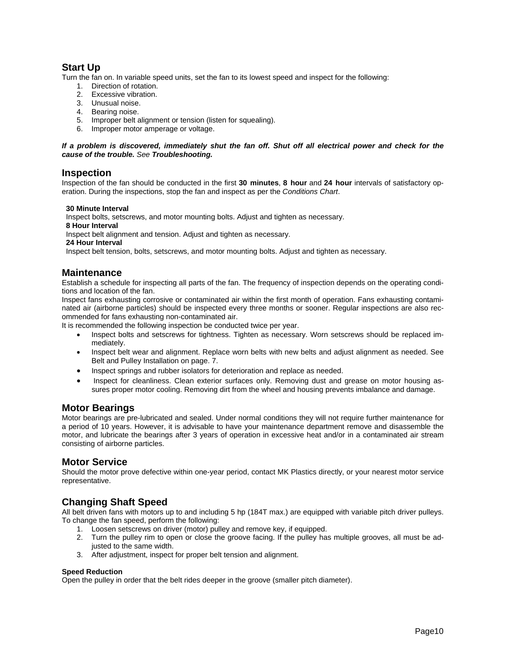# **Start Up**

Turn the fan on. In variable speed units, set the fan to its lowest speed and inspect for the following:

- 1. Direction of rotation.
- 2. Excessive vibration.
- 3. Unusual noise.
- 4. Bearing noise.
- 5. Improper belt alignment or tension (listen for squealing).
- 6. Improper motor amperage or voltage.

### *If a problem is discovered, immediately shut the fan off. Shut off all electrical power and check for the cause of the trouble. See Troubleshooting.*

### **Inspection**

Inspection of the fan should be conducted in the first **30 minutes**, **8 hour** and **24 hour** intervals of satisfactory operation. During the inspections, stop the fan and inspect as per the *Conditions Chart*.

#### **30 Minute Interval**

Inspect bolts, setscrews, and motor mounting bolts. Adjust and tighten as necessary.

 **8 Hour Interval** 

Inspect belt alignment and tension. Adjust and tighten as necessary.

 **24 Hour Interval** 

Inspect belt tension, bolts, setscrews, and motor mounting bolts. Adjust and tighten as necessary.

### **Maintenance**

Establish a schedule for inspecting all parts of the fan. The frequency of inspection depends on the operating conditions and location of the fan.

Inspect fans exhausting corrosive or contaminated air within the first month of operation. Fans exhausting contaminated air (airborne particles) should be inspected every three months or sooner. Regular inspections are also recommended for fans exhausting non-contaminated air.

It is recommended the following inspection be conducted twice per year.

- Inspect bolts and setscrews for tightness. Tighten as necessary. Worn setscrews should be replaced immediately.
- Inspect belt wear and alignment. Replace worn belts with new belts and adjust alignment as needed. See Belt and Pulley Installation on page. 7.
- Inspect springs and rubber isolators for deterioration and replace as needed.
- Inspect for cleanliness. Clean exterior surfaces only. Removing dust and grease on motor housing assures proper motor cooling. Removing dirt from the wheel and housing prevents imbalance and damage.

### **Motor Bearings**

Motor bearings are pre-lubricated and sealed. Under normal conditions they will not require further maintenance for a period of 10 years. However, it is advisable to have your maintenance department remove and disassemble the motor, and lubricate the bearings after 3 years of operation in excessive heat and/or in a contaminated air stream consisting of airborne particles.

### **Motor Service**

Should the motor prove defective within one-year period, contact MK Plastics directly, or your nearest motor service representative.

# **Changing Shaft Speed**

All belt driven fans with motors up to and including 5 hp (184T max.) are equipped with variable pitch driver pulleys. To change the fan speed, perform the following:

- 1. Loosen setscrews on driver (motor) pulley and remove key, if equipped.
- 2. Turn the pulley rim to open or close the groove facing. If the pulley has multiple grooves, all must be adjusted to the same width.
- 3. After adjustment, inspect for proper belt tension and alignment.

#### **Speed Reduction**

Open the pulley in order that the belt rides deeper in the groove (smaller pitch diameter).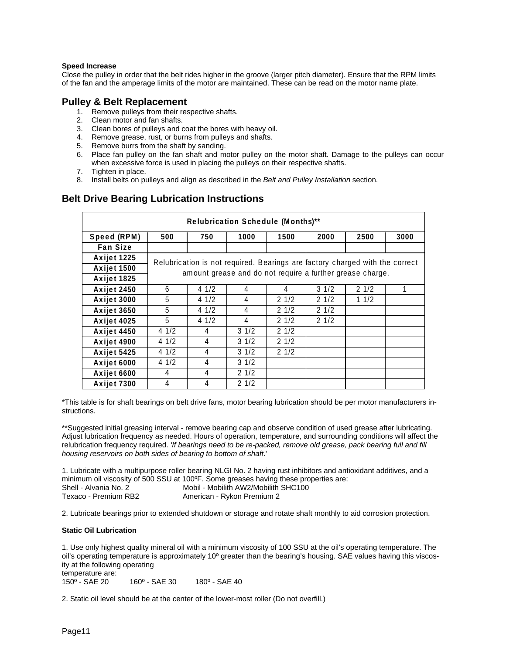#### **Speed Increase**

Close the pulley in order that the belt rides higher in the groove (larger pitch diameter). Ensure that the RPM limits of the fan and the amperage limits of the motor are maintained. These can be read on the motor name plate.

### **Pulley & Belt Replacement**

- 1. Remove pulleys from their respective shafts.
- 2. Clean motor and fan shafts.
- 3. Clean bores of pulleys and coat the bores with heavy oil.
- 4. Remove grease, rust, or burns from pulleys and shafts.
- 5. Remove burrs from the shaft by sanding.
- 6. Place fan pulley on the fan shaft and motor pulley on the motor shaft. Damage to the pulleys can occur when excessive force is used in placing the pulleys on their respective shafts.
- 7. Tighten in place.
- 8. Install belts on pulleys and align as described in the *Belt and Pulley Installation* section.

# **Belt Drive Bearing Lubrication Instructions**

| Relubrication Schedule (Months)** |                                                                              |                                                           |                 |      |                 |      |      |
|-----------------------------------|------------------------------------------------------------------------------|-----------------------------------------------------------|-----------------|------|-----------------|------|------|
| Speed (RPM)                       | 500                                                                          | 750                                                       | 1000            | 1500 | 2000            | 2500 | 3000 |
| <b>Fan Size</b>                   |                                                                              |                                                           |                 |      |                 |      |      |
| Axijet 1225                       | Relubrication is not required. Bearings are factory charged with the correct |                                                           |                 |      |                 |      |      |
| Axijet 1500                       |                                                                              | amount grease and do not require a further grease charge. |                 |      |                 |      |      |
| Axijet 1825                       |                                                                              |                                                           |                 |      |                 |      |      |
| Axijet 2450                       | 6                                                                            | 41/2                                                      | 4               | 4    | $3 \frac{1}{2}$ | 21/2 | 1    |
| Axijet 3000                       | 5                                                                            | 41/2                                                      | 4               | 21/2 | 21/2            | 11/2 |      |
| Axijet 3650                       | 5                                                                            | 41/2                                                      | 4               | 21/2 | 21/2            |      |      |
| Axijet 4025                       | 5                                                                            | 41/2                                                      | 4               | 21/2 | 21/2            |      |      |
| Axijet 4450                       | 41/2                                                                         | 4                                                         | $3 \frac{1}{2}$ | 21/2 |                 |      |      |
| Axijet 4900                       | 41/2                                                                         | 4                                                         | $3 \frac{1}{2}$ | 21/2 |                 |      |      |
| Axijet 5425                       | 41/2                                                                         | 4                                                         | $3 \frac{1}{2}$ | 21/2 |                 |      |      |
| Axijet 6000                       | 41/2                                                                         | 4                                                         | $3 \frac{1}{2}$ |      |                 |      |      |
| Axijet 6600                       | 4                                                                            | 4                                                         | 21/2            |      |                 |      |      |
| Axijet 7300                       | 4                                                                            | 4                                                         | 21/2            |      |                 |      |      |

\*This table is for shaft bearings on belt drive fans, motor bearing lubrication should be per motor manufacturers instructions.

\*\*Suggested initial greasing interval - remove bearing cap and observe condition of used grease after lubricating. Adjust lubrication frequency as needed. Hours of operation, temperature, and surrounding conditions will affect the relubrication frequency required. *'If bearings need to be re-packed, remove old grease, pack bearing full and fill housing reservoirs on both sides of bearing to bottom of shaft*.'

1. Lubricate with a multipurpose roller bearing NLGI No. 2 having rust inhibitors and antioxidant additives, and a minimum oil viscosity of 500 SSU at 100ºF. Some greases having these properties are: Shell - Alvania No. 2 Mobil - Mobilith AW2/Mobilith SHC100 Texaco - Premium RB2 American - Rykon Premium 2

2. Lubricate bearings prior to extended shutdown or storage and rotate shaft monthly to aid corrosion protection.

#### **Static Oil Lubrication**

1. Use only highest quality mineral oil with a minimum viscosity of 100 SSU at the oil's operating temperature. The oil's operating temperature is approximately 10º greater than the bearing's housing. SAE values having this viscosity at the following operating temperature are:

150º - SAE 20 160º - SAE 30 180º - SAE 40

2. Static oil level should be at the center of the lower-most roller (Do not overfill.)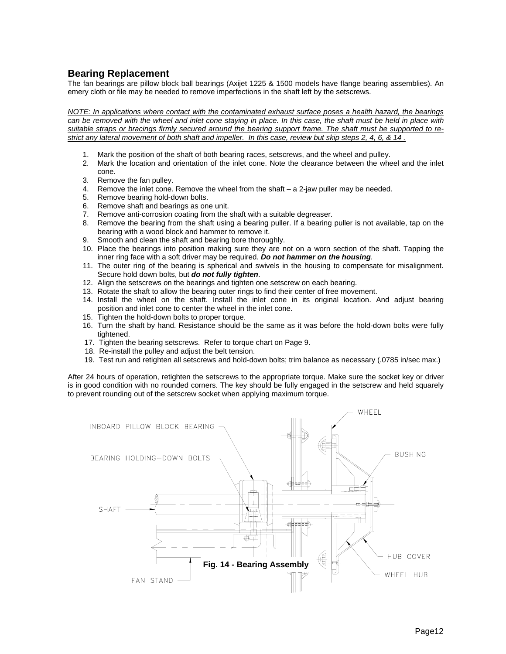# **Bearing Replacement**

The fan bearings are pillow block ball bearings (Axijet 1225 & 1500 models have flange bearing assemblies). An emery cloth or file may be needed to remove imperfections in the shaft left by the setscrews.

*NOTE: In applications where contact with the contaminated exhaust surface poses a health hazard, the bearings can be removed with the wheel and inlet cone staying in place. In this case, the shaft must be held in place with suitable straps or bracings firmly secured around the bearing support frame. The shaft must be supported to restrict any lateral movement of both shaft and impeller. In this case, review but skip steps 2, 4, 6, & 14 .*

- 1. Mark the position of the shaft of both bearing races, setscrews, and the wheel and pulley.
- 2. Mark the location and orientation of the inlet cone. Note the clearance between the wheel and the inlet cone.
- 3. Remove the fan pulley.
- 4. Remove the inlet cone. Remove the wheel from the shaft a 2-jaw puller may be needed.
- 5. Remove bearing hold-down bolts.
- 6. Remove shaft and bearings as one unit.
- 7. Remove anti-corrosion coating from the shaft with a suitable degreaser.
- 8. Remove the bearing from the shaft using a bearing puller. If a bearing puller is not available, tap on the bearing with a wood block and hammer to remove it.
- 9. Smooth and clean the shaft and bearing bore thoroughly.
- 10. Place the bearings into position making sure they are not on a worn section of the shaft. Tapping the inner ring face with a soft driver may be required. *Do not hammer on the housing*.
- 11. The outer ring of the bearing is spherical and swivels in the housing to compensate for misalignment. Secure hold down bolts, but *do not fully tighten*.
- 12. Align the setscrews on the bearings and tighten one setscrew on each bearing.
- 13. Rotate the shaft to allow the bearing outer rings to find their center of free movement.
- 14. Install the wheel on the shaft. Install the inlet cone in its original location. And adjust bearing position and inlet cone to center the wheel in the inlet cone.
- 15. Tighten the hold-down bolts to proper torque.
- 16. Turn the shaft by hand. Resistance should be the same as it was before the hold-down bolts were fully tightened.
- 17. Tighten the bearing setscrews. Refer to torque chart on Page 9.
- 18. Re-install the pulley and adjust the belt tension.
- 19. Test run and retighten all setscrews and hold-down bolts; trim balance as necessary (.0785 in/sec max.)

After 24 hours of operation, retighten the setscrews to the appropriate torque. Make sure the socket key or driver is in good condition with no rounded corners. The key should be fully engaged in the setscrew and held squarely to prevent rounding out of the setscrew socket when applying maximum torque.

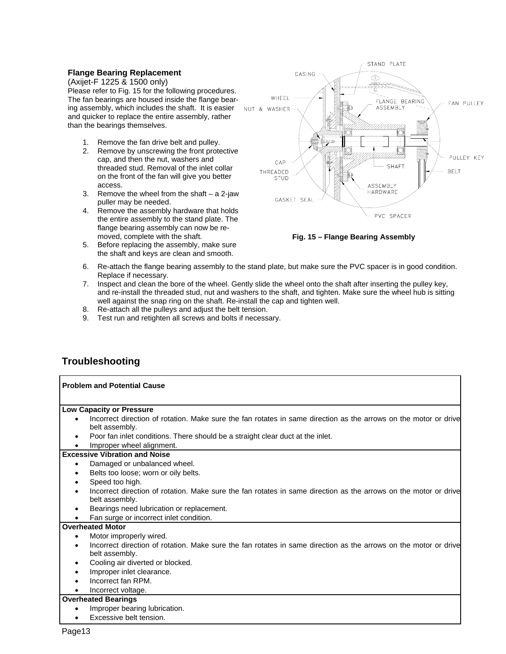#### **Flange Bearing Replacement**

(Axijet-F 1225 & 1500 only) Please refer to Fig. 15 for the following procedures. The fan bearings are housed inside the flange bearing assembly, which includes the shaft. It is easier and quicker to replace the entire assembly, rather than the bearings themselves.

- 1. Remove the fan drive belt and pulley.
- 2. Remove by unscrewing the front protective cap, and then the nut, washers and threaded stud. Removal of the inlet collar on the front of the fan will give you better access.
- 3. Remove the wheel from the shaft a 2-jaw puller may be needed.
- 4. Remove the assembly hardware that holds the entire assembly to the stand plate. The flange bearing assembly can now be removed, complete with the shaft.
- 5. Before replacing the assembly, make sure the shaft and keys are clean and smooth.



**Fig. 15 – Flange Bearing Assembly** 

- 6. Re-attach the flange bearing assembly to the stand plate, but make sure the PVC spacer is in good condition. Replace if necessary.
- 7. Inspect and clean the bore of the wheel. Gently slide the wheel onto the shaft after inserting the pulley key, and re-install the threaded stud, nut and washers to the shaft, and tighten. Make sure the wheel hub is sitting well against the snap ring on the shaft. Re-install the cap and tighten well.
- 8. Re-attach all the pulleys and adjust the belt tension.
- 9. Test run and retighten all screws and bolts if necessary.

# **Troubleshooting**

| <b>Problem and Potential Cause</b>                                                                                                 |
|------------------------------------------------------------------------------------------------------------------------------------|
| <b>Low Capacity or Pressure</b>                                                                                                    |
| Incorrect direction of rotation. Make sure the fan rotates in same direction as the arrows on the motor or drive<br>belt assembly. |
| Poor fan inlet conditions. There should be a straight clear duct at the inlet.                                                     |
| Improper wheel alignment.                                                                                                          |
| <b>Excessive Vibration and Noise</b>                                                                                               |
| Damaged or unbalanced wheel.                                                                                                       |
| Belts too loose; worn or oily belts.                                                                                               |
| Speed too high.                                                                                                                    |
| Incorrect direction of rotation. Make sure the fan rotates in same direction as the arrows on the motor or drive<br>belt assembly. |
| Bearings need lubrication or replacement.                                                                                          |
| Fan surge or incorrect inlet condition.                                                                                            |
| <b>Overheated Motor</b>                                                                                                            |
| Motor improperly wired.                                                                                                            |
| Incorrect direction of rotation. Make sure the fan rotates in same direction as the arrows on the motor or drive<br>belt assembly. |
| Cooling air diverted or blocked.                                                                                                   |
| Improper inlet clearance.                                                                                                          |
| Incorrect fan RPM.                                                                                                                 |
| Incorrect voltage.                                                                                                                 |
| <b>Overheated Bearings</b>                                                                                                         |
| Improper bearing lubrication.                                                                                                      |
| Excessive belt tension.                                                                                                            |